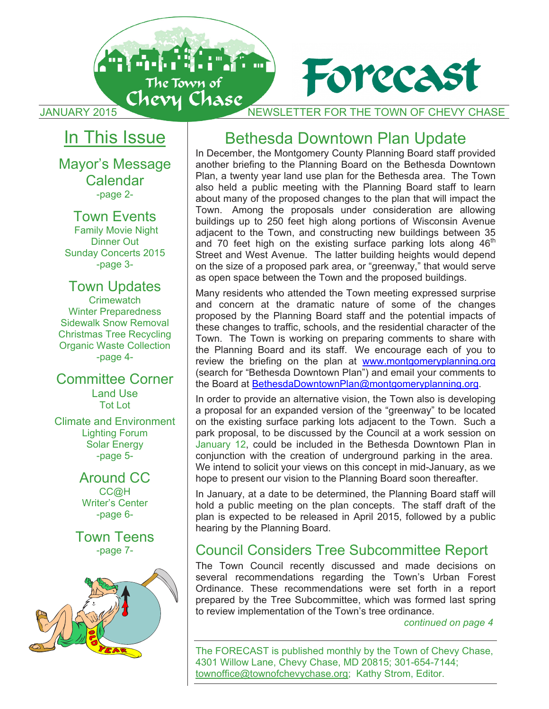

JANUARY 2015 NEWSLETTER FOR THE TOWN OF CHEVY CHASE JANUARY 2015 NEWSLETTER FOR THE TOWN OF CHEVY CHASE JANUARY 2015 NEWSLETTER FOR THE TOWN OF CHEVY CHASE

Forecast

## <u>In This Issue</u>

Mayor's Message Mayor's Message Mayor's Message Calendar Calendar Calendar -page 2- -page 2- -page 2-

Town Events Town Events Town Events Family Movie Night Family Movie Night Family Movie Night Dinner Out Dinner Out Dinner Out Sunday Concerts 2015 Sunday Concerts 2015 Sunday Concerts 2015 -page 3- -page 3- -page 3-

## Town Updates Town Updates Town Updates

Crimewatch Crimewatch Crimewatch Winter Preparedness Winter Preparedness Winter Preparedness Sidewalk Snow Removal Sidewalk Snow Removal Sidewalk Snow Removal Christmas Tree Recycling Christmas Tree Recycling Christmas Tree Recycling Organic Waste Collection Organic Waste Collection Organic Waste Collection -page 4- -page 4- -page 4-

Committee Corner Committee Corner Committee Corner Land Use Land Use Land Use Tot Lot Tot Lot Tot Lot

Climate and Environment Climate and Environment Climate and Environment Lighting Forum Lighting Forum Lighting Forum Solar Energy Solar Energy Solar Energy -page 5- -page 5- -page 5-

> Around CC Around CC Around CC CC@H CC@H CC@H Writer's Center Writer's Center Writer's Center -page 6- -page 6- -page 6-

Town Teens Town Teens Town Teens -page 7- -page 7- -page 7-



## Bethesda Downtown Plan Update Bethesda Downtown Plan Update Bethesda Downtown Plan Update

In December, the Montgomery County Planning Board staff provided In December, the Montgomery County Planning Board staff provided In December, the Montgomery County Planning Board staff provided another briefing to the Planning Board on the Bethesda Downtown another briefing to the Planning Board on the Bethesda Downtown another briefing to the Planning Board on the Bethesda Downtown Plan, a twenty year land use plan for the Bethesda area. The Town Plan, a twenty year land use plan for the Bethesda area. The Town Plan, a twenty year land use plan for the Bethesda area. The Town also held a public meeting with the Planning Board staff to learn also held a public meeting with the Planning Board staff to learn also held a public meeting with the Planning Board staff to learn about many of the proposed changes to the plan that will impact the about many of the proposed changes to the plan that will impact the about many of the proposed changes to the plan that will impact the Town. Among the proposals under consideration are allowing Town. Among the proposals under consideration are allowing Town. Among the proposals under consideration are allowing buildings up to 250 feet high along portions of Wisconsin Avenue buildings up to 250 feet high along portions of Wisconsin Avenue buildings up to 250 feet high along portions of Wisconsin Avenue adjacent to the Town, and constructing new buildings between 35 adjacent to the Town, and constructing new buildings between 35 adjacent to the Town, and constructing new buildings between 35 and 70 feet high on the existing surface parking lots along  $46<sup>th</sup>$ Street and West Avenue. The latter building heights would depend Street and West Avenue. The latter building heights would depend Street and West Avenue. The latter building heights would depend on the size of a proposed park area, or "greenway," that would serve on the size of a proposed park area, or "greenway," that would serve on the size of a proposed park area, or "greenway," that would serve as open space between the Town and the proposed buildings. as open space between the Town and the proposed buildings. as open space between the Town and the proposed buildings.

Many residents who attended the Town meeting expressed surprise Many residents who attended the Town meeting expressed surprise Many residents who attended the Town meeting expressed surprise and concern at the dramatic nature of some of the changes and concern at the dramatic nature of some of the changes and concern at the dramatic nature of some of the changes proposed by the Planning Board staff and the potential impacts of proposed by the Planning Board staff and the potential impacts of proposed by the Planning Board staff and the potential impacts of these changes to traffic, schools, and the residential character of the these changes to traffic, schools, and the residential character of the these changes to traffic, schools, and the residential character of the Town. The Town is working on preparing comments to share with Town. The Town is working on preparing comments to share with Town. The Town is working on preparing comments to share with | the Planning Board and its staff. We encourage each of you to review the briefing on the plan at www.montgomeryplanning.org (search for "Bethesda Downtown Plan") and email your comments to (search for "Bethesda Downtown Plan") and email your comments to (search for "Bethesda Downtown Plan") and email your comments to the Board at BethesdaDowntownPlan@montgomeryplanning.org. the Board at BethesdaDowntownPlan@montgomeryplanning.org. the Board at BethesdaDowntownPlan@montgomeryplanning.org.

In order to provide an alternative vision, the Town also is developing In order to provide an alternative vision, the Town also is developing In order to provide an alternative vision, the Town also is developing a proposal for an expanded version of the "greenway" to be located a proposal for an expanded version of the "greenway" to be located a proposal for an expanded version of the "greenway" to be located on the existing surface parking lots adjacent to the Town. Such a on the existing surface parking lots adjacent to the Town. Such a on the existing surface parking lots adjacent to the Town. Such a park proposal, to be discussed by the Council at a work session on park proposal, to be discussed by the Council at a work session on park proposal, to be discussed by the Council at a work session on January 12, could be included in the Bethesda Downtown Plan in January 12, could be included in the Bethesda Downtown Plan in January 12, could be included in the Bethesda Downtown Plan in conjunction with the creation of underground parking in the area. conjunction with the creation of underground parking in the area. conjunction with the creation of underground parking in the area. We intend to solicit your views on this concept in mid-January, as we We intend to solicit your views on this concept in mid-January, as we We intend to solicit your views on this concept in mid-January, as we hope to present our vision to the Planning Board soon thereafter. hope to present our vision to the Planning Board soon thereafter. hope to present our vision to the Planning Board soon thereafter.

In January, at a date to be determined, the Planning Board staff will In January, at a date to be determined, the Planning Board staff will In January, at a date to be determined, the Planning Board staff will hold a public meeting on the plan concepts. The staff draft of the hold a public meeting on the plan concepts. The staff draft of the hold a public meeting on the plan concepts. The staff draft of the plan is expected to be released in April 2015, followed by a public plan is expected to be released in April 2015, followed by a public plan is expected to be released in April 2015, followed by a public hearing by the Planning Board. hearing by the Planning Board. hearing by the Planning Board.

## Council Considers Tree Subcommittee Report Council Considers Tree Subcommittee Report Council Considers Tree Subcommittee Report

The Town Council recently discussed and made decisions on The Town Council recently discussed and made decisions on The Town Council recently discussed and made decisions on several recommendations regarding the Town's Urban Forest several recommendations regarding the Town's Urban Forest several recommendations regarding the Town's Urban Forest Ordinance. These recommendations were set forth in a report Ordinance. These recommendations were set forth in a report Ordinance. These recommendations were set forth in a report prepared by the Tree Subcommittee, which was formed last spring prepared by the Tree Subcommittee, which was formed last spring prepared by the Tree Subcommittee, which was formed last spring to review implementation of the Town's tree ordinance. to review implementation of the Town's tree ordinance. to review implementation of the Town's tree ordinance.

*continued on page 4 continued on page 4 continued on page 4* 

The FORECAST is published monthly by the Town of Chevy Chase, The FORECAST is published monthly by the Town of Chevy Chase, The FORECAST is published monthly by the Town of Chevy Chase, 4301 Willow Lane, Chevy Chase, MD 20815; 301-654-7144; 4301 Willow Lane, Chevy Chase, MD 20815; 301-654-7144; 4301 Willow Lane, Chevy Chase, MD 20815; 301-654-7144; townoffice@townofchevychase.org; Kathy Strom, Editor. townoffice@townofchevychase.org; Kathy Strom, Editor. townoffice@townofchevychase.org; Kathy Strom, Editor.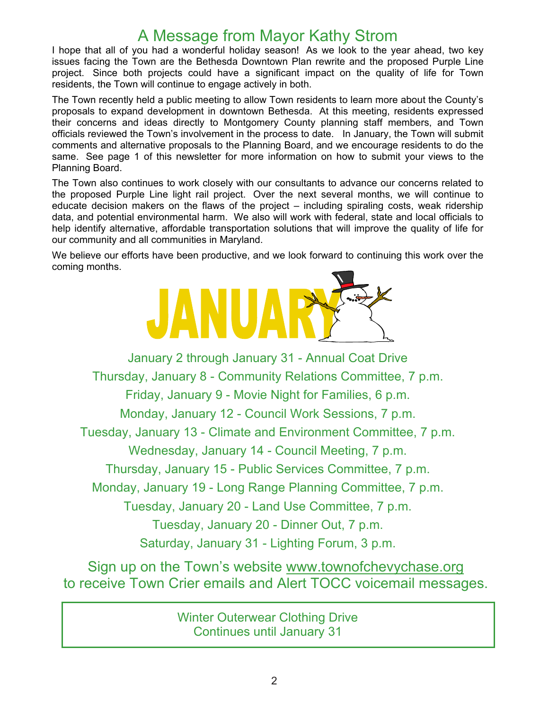## A Message from Mayor Kathy Strom

I hope that all of you had a wonderful holiday season! As we look to the year ahead, two key issues facing the Town are the Bethesda Downtown Plan rewrite and the proposed Purple Line project. Since both projects could have a significant impact on the quality of life for Town residents, the Town will continue to engage actively in both.

The Town recently held a public meeting to allow Town residents to learn more about the County's proposals to expand development in downtown Bethesda. At this meeting, residents expressed their concerns and ideas directly to Montgomery County planning staff members, and Town officials reviewed the Town's involvement in the process to date. In January, the Town will submit comments and alternative proposals to the Planning Board, and we encourage residents to do the same. See page 1 of this newsletter for more information on how to submit your views to the Planning Board.

The Town also continues to work closely with our consultants to advance our concerns related to the proposed Purple Line light rail project. Over the next several months, we will continue to educate decision makers on the flaws of the project – including spiraling costs, weak ridership data, and potential environmental harm. We also will work with federal, state and local officials to help identify alternative, affordable transportation solutions that will improve the quality of life for our community and all communities in Maryland.

We believe our efforts have been productive, and we look forward to continuing this work over the coming months.



January 2 through January 31 - Annual Coat Drive Thursday, January 8 - Community Relations Committee, 7 p.m. Friday, January 9 - Movie Night for Families, 6 p.m. Monday, January 12 - Council Work Sessions, 7 p.m. Tuesday, January 13 - Climate and Environment Committee, 7 p.m. Wednesday, January 14 - Council Meeting, 7 p.m. Thursday, January 15 - Public Services Committee, 7 p.m. Monday, January 19 - Long Range Planning Committee, 7 p.m. Tuesday, January 20 - Land Use Committee, 7 p.m. Tuesday, January 20 - Dinner Out, 7 p.m. Saturday, January 31 - Lighting Forum, 3 p.m.

Sign up on the Town's website www.townofchevychase.org to receive Town Crier emails and Alert TOCC voicemail messages.

> Winter Outerwear Clothing Drive Continues until January 31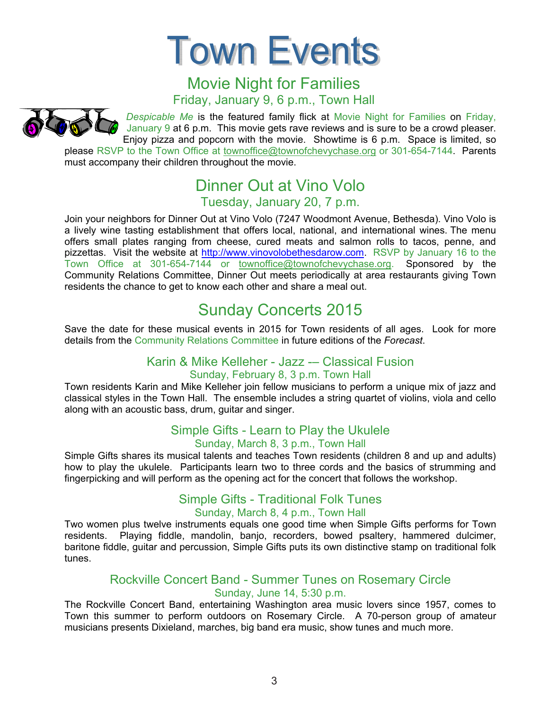**Town Events** 

#### Movie Night for Families Friday, January 9, 6 p.m., Town Hall

*Despicable Me* is the featured family flick at Movie Night for Families on Friday, January 9 at 6 p.m. This movie gets rave reviews and is sure to be a crowd pleaser. Enjoy pizza and popcorn with the movie. Showtime is 6 p.m. Space is limited, so please RSVP to the Town Office at townoffice@townofchevychase.org or 301-654-7144. Parents must accompany their children throughout the movie.

#### Dinner Out at Vino Volo Tuesday, January 20, 7 p.m.

Join your neighbors for Dinner Out at Vino Volo (7247 Woodmont Avenue, Bethesda). Vino Volo is a lively wine tasting establishment that offers local, national, and international wines. The menu offers small plates ranging from cheese, cured meats and salmon rolls to tacos, penne, and pizzettas. Visit the website at http://www.vinovolobethesdarow.com. RSVP by January 16 to the Town Office at 301-654-7144 or townoffice@townofchevychase.org. Sponsored by the Community Relations Committee, Dinner Out meets periodically at area restaurants giving Town residents the chance to get to know each other and share a meal out.

## Sunday Concerts 2015

Save the date for these musical events in 2015 for Town residents of all ages. Look for more details from the Community Relations Committee in future editions of the *Forecast*.

#### Karin & Mike Kelleher - Jazz -– Classical Fusion Sunday, February 8, 3 p.m. Town Hall

Town residents Karin and Mike Kelleher join fellow musicians to perform a unique mix of jazz and classical styles in the Town Hall. The ensemble includes a string quartet of violins, viola and cello along with an acoustic bass, drum, guitar and singer.

#### Simple Gifts - Learn to Play the Ukulele Sunday, March 8, 3 p.m., Town Hall

Simple Gifts shares its musical talents and teaches Town residents (children 8 and up and adults) how to play the ukulele. Participants learn two to three cords and the basics of strumming and fingerpicking and will perform as the opening act for the concert that follows the workshop.

#### Simple Gifts - Traditional Folk Tunes Sunday, March 8, 4 p.m., Town Hall

Two women plus twelve instruments equals one good time when Simple Gifts performs for Town residents. Playing fiddle, mandolin, banjo, recorders, bowed psaltery, hammered dulcimer, baritone fiddle, guitar and percussion, Simple Gifts puts its own distinctive stamp on traditional folk tunes.

#### Rockville Concert Band - Summer Tunes on Rosemary Circle Sunday, June 14, 5:30 p.m.

The Rockville Concert Band, entertaining Washington area music lovers since 1957, comes to Town this summer to perform outdoors on Rosemary Circle. A 70-person group of amateur musicians presents Dixieland, marches, big band era music, show tunes and much more.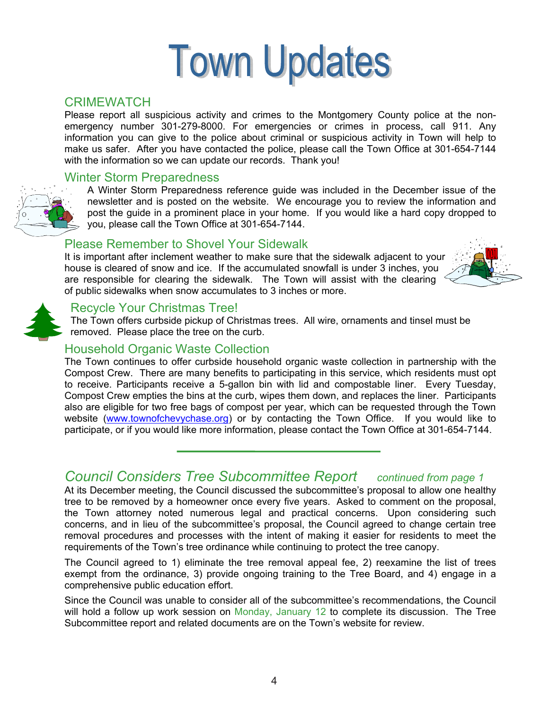# **Town Updates**

#### **CRIMEWATCH**

Please report all suspicious activity and crimes to the Montgomery County police at the nonemergency number 301-279-8000. For emergencies or crimes in process, call 911. Any information you can give to the police about criminal or suspicious activity in Town will help to make us safer. After you have contacted the police, please call the Town Office at 301-654-7144 with the information so we can update our records. Thank you!

#### Winter Storm Preparedness



A Winter Storm Preparedness reference guide was included in the December issue of the newsletter and is posted on the website. We encourage you to review the information and post the guide in a prominent place in your home. If you would like a hard copy dropped to you, please call the Town Office at 301-654-7144.

#### Please Remember to Shovel Your Sidewalk

It is important after inclement weather to make sure that the sidewalk adjacent to your house is cleared of snow and ice. If the accumulated snowfall is under 3 inches, you are responsible for clearing the sidewalk. The Town will assist with the clearing of public sidewalks when snow accumulates to 3 inches or more.





#### Recycle Your Christmas Tree!

The Town offers curbside pickup of Christmas trees. All wire, ornaments and tinsel must be removed. Please place the tree on the curb.

#### Household Organic Waste Collection

The Town continues to offer curbside household organic waste collection in partnership with the Compost Crew. There are many benefits to participating in this service, which residents must opt to receive. Participants receive a 5-gallon bin with lid and compostable liner. Every Tuesday, Compost Crew empties the bins at the curb, wipes them down, and replaces the liner. Participants also are eligible for two free bags of compost per year, which can be requested through the Town website (www.townofchevychase.org) or by contacting the Town Office. If you would like to participate, or if you would like more information, please contact the Town Office at 301-654-7144.

#### *Council Considers Tree Subcommittee Report continued from page 1*

At its December meeting, the Council discussed the subcommittee's proposal to allow one healthy tree to be removed by a homeowner once every five years. Asked to comment on the proposal, the Town attorney noted numerous legal and practical concerns. Upon considering such concerns, and in lieu of the subcommittee's proposal, the Council agreed to change certain tree removal procedures and processes with the intent of making it easier for residents to meet the requirements of the Town's tree ordinance while continuing to protect the tree canopy.

The Council agreed to 1) eliminate the tree removal appeal fee, 2) reexamine the list of trees exempt from the ordinance, 3) provide ongoing training to the Tree Board, and 4) engage in a comprehensive public education effort.

Since the Council was unable to consider all of the subcommittee's recommendations, the Council will hold a follow up work session on Monday, January 12 to complete its discussion. The Tree Subcommittee report and related documents are on the Town's website for review.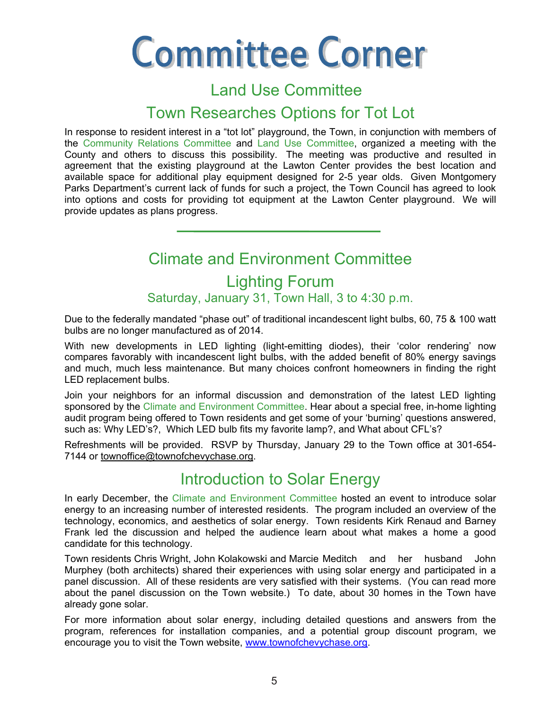# **Committee Corner**

## Land Use Committee

### Town Researches Options for Tot Lot

In response to resident interest in a "tot lot" playground, the Town, in conjunction with members of the Community Relations Committee and Land Use Committee, organized a meeting with the County and others to discuss this possibility. The meeting was productive and resulted in agreement that the existing playground at the Lawton Center provides the best location and available space for additional play equipment designed for 2-5 year olds. Given Montgomery Parks Department's current lack of funds for such a project, the Town Council has agreed to look into options and costs for providing tot equipment at the Lawton Center playground. We will provide updates as plans progress.

## Climate and Environment Committee Lighting Forum Saturday, January 31, Town Hall, 3 to 4:30 p.m.

Due to the federally mandated "phase out" of traditional incandescent light bulbs, 60, 75 & 100 watt bulbs are no longer manufactured as of 2014.

With new developments in LED lighting (light-emitting diodes), their 'color rendering' now compares favorably with incandescent light bulbs, with the added benefit of 80% energy savings and much, much less maintenance. But many choices confront homeowners in finding the right LED replacement bulbs.

Join your neighbors for an informal discussion and demonstration of the latest LED lighting sponsored by the Climate and Environment Committee. Hear about a special free, in-home lighting audit program being offered to Town residents and get some of your 'burning' questions answered, such as: Why LED's?, Which LED bulb fits my favorite lamp?, and What about CFL's?

 Refreshments will be provided. RSVP by Thursday, January 29 to the Town office at 301-654- 7144 or townoffice@townofchevychase.org.

## Introduction to Solar Energy

In early December, the Climate and Environment Committee hosted an event to introduce solar energy to an increasing number of interested residents. The program included an overview of the technology, economics, and aesthetics of solar energy. Town residents Kirk Renaud and Barney Frank led the discussion and helped the audience learn about what makes a home a good candidate for this technology.

Town residents Chris Wright, John Kolakowski and Marcie Meditch and her husband John Murphey (both architects) shared their experiences with using solar energy and participated in a panel discussion. All of these residents are very satisfied with their systems. (You can read more about the panel discussion on the Town website.) To date, about 30 homes in the Town have already gone solar.

For more information about solar energy, including detailed questions and answers from the program, references for installation companies, and a potential group discount program, we encourage you to visit the Town website, www.townofchevychase.org.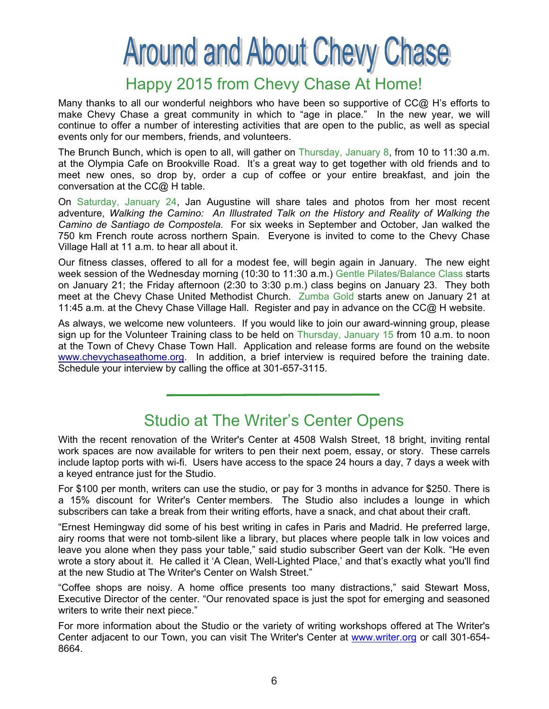## **Around and About Chevy Chase**

## Happy 2015 from Chevy Chase At Home!

Many thanks to all our wonderful neighbors who have been so supportive of CC@ H's efforts to make Chevy Chase a great community in which to "age in place." In the new year, we will continue to offer a number of interesting activities that are open to the public, as well as special events only for our members, friends, and volunteers.

The Brunch Bunch, which is open to all, will gather on Thursday, January 8, from 10 to 11:30 a.m. at the Olympia Cafe on Brookville Road. It's a great way to get together with old friends and to meet new ones, so drop by, order a cup of coffee or your entire breakfast, and join the conversation at the CC@ H table.

On Saturday, January 24, Jan Augustine will share tales and photos from her most recent adventure, *Walking the Camino: An Illustrated Talk on the History and Reality of Walking the Camino de Santiago de Compostela.* For six weeks in September and October, Jan walked the 750 km French route across northern Spain. Everyone is invited to come to the Chevy Chase Village Hall at 11 a.m. to hear all about it.

Our fitness classes, offered to all for a modest fee, will begin again in January. The new eight week session of the Wednesday morning (10:30 to 11:30 a.m.) Gentle Pilates/Balance Class starts on January 21; the Friday afternoon (2:30 to 3:30 p.m.) class begins on January 23. They both meet at the Chevy Chase United Methodist Church. Zumba Gold starts anew on January 21 at 11:45 a.m. at the Chevy Chase Village Hall. Register and pay in advance on the CC@ H website.

As always, we welcome new volunteers. If you would like to join our award-winning group, please sign up for the Volunteer Training class to be held on Thursday, January 15 from 10 a.m. to noon at the Town of Chevy Chase Town Hall. Application and release forms are found on the website www.chevychaseathome.org. In addition, a brief interview is required before the training date. Schedule your interview by calling the office at 301-657-3115.

## Studio at The Writer's Center Opens

With the recent renovation of the Writer's Center at 4508 Walsh Street, 18 bright, inviting rental work spaces are now available for writers to pen their next poem, essay, or story. These carrels include laptop ports with wi-fi. Users have access to the space 24 hours a day, 7 days a week with a keyed entrance just for the Studio.

For \$100 per month, writers can use the studio, or pay for 3 months in advance for \$250. There is a 15% discount for Writer's Center members. The Studio also includes a lounge in which subscribers can take a break from their writing efforts, have a snack, and chat about their craft.

"Ernest Hemingway did some of his best writing in cafes in Paris and Madrid. He preferred large, airy rooms that were not tomb-silent like a library, but places where people talk in low voices and leave you alone when they pass your table," said studio subscriber Geert van der Kolk. "He even wrote a story about it. He called it 'A Clean, Well-Lighted Place,' and that's exactly what you'll find at the new Studio at The Writer's Center on Walsh Street."

"Coffee shops are noisy. A home office presents too many distractions," said Stewart Moss, Executive Director of the center. "Our renovated space is just the spot for emerging and seasoned writers to write their next piece."

For more information about the Studio or the variety of writing workshops offered at The Writer's Center adjacent to our Town, you can visit The Writer's Center at www.writer.org or call 301-654-8664.